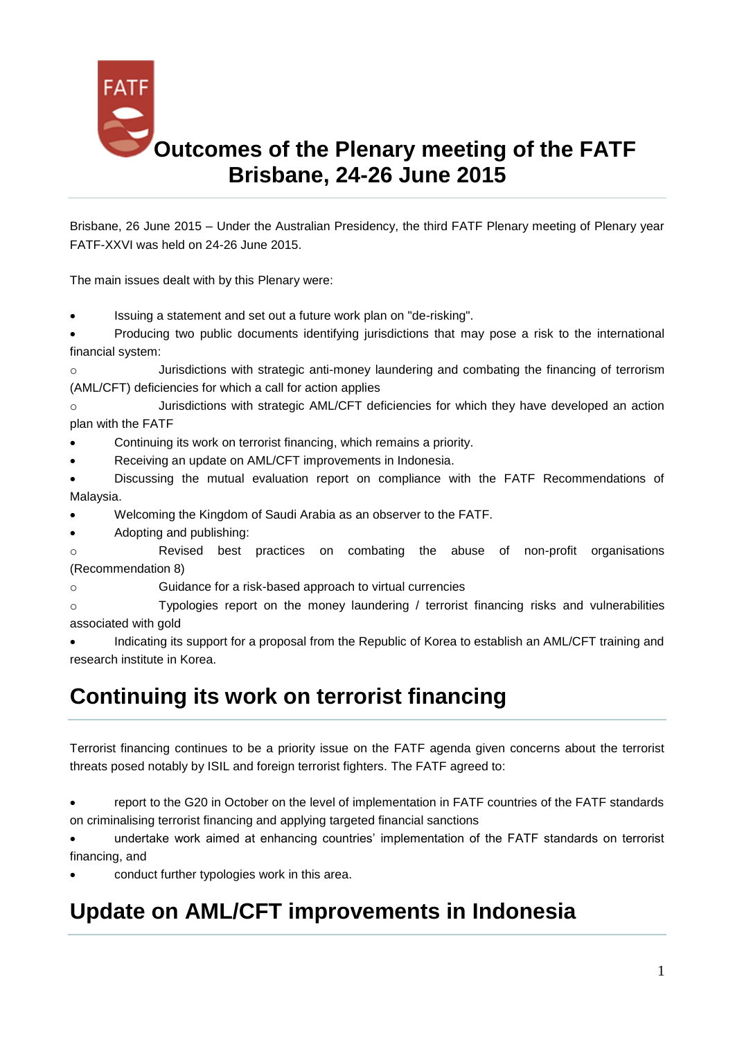

Brisbane, 26 June 2015 – Under the Australian Presidency, the third FATF Plenary meeting of Plenary year FATF-XXVI was held on 24-26 June 2015.

The main issues dealt with by this Plenary were:

[Issuing a statement and set out a future work plan on "de-risking".](http://www.fatf-gafi.org/topics/fatfrecommendations/documents/derisking-goes-beyond-amlcft.html)

 Producing two public documents identifying jurisdictions that may pose a risk to the international financial system:

o [Jurisdictions with strategic anti-money laundering and combating the financing of terrorism](http://www.fatf-gafi.org/topics/high-riskandnon-cooperativejurisdictions/documents/public-statement-june-2015.html)  [\(AML/CFT\) deficiencies for which a call for action applies](http://www.fatf-gafi.org/topics/high-riskandnon-cooperativejurisdictions/documents/public-statement-june-2015.html)

o [Jurisdictions with strategic AML/CFT deficiencies for which they have developed an action](http://www.fatf-gafi.org/topics/high-riskandnon-cooperativejurisdictions/documents/fatf-compliance-june-2015.html)  [plan with the FATF](http://www.fatf-gafi.org/topics/high-riskandnon-cooperativejurisdictions/documents/fatf-compliance-june-2015.html)

[Continuing its work on terrorist financing,](http://www.fatf-gafi.org/documents/news/outcomes-plenary-june2015.html#tf) which remains a priority.

[Receiving an update on AML/CFT improvements in Indonesia.](http://www.fatf-gafi.org/documents/news/outcomes-plenary-june2015.html#indonesia)

 [Discussing the mutual evaluation report on compliance with the FATF Recommendations of](http://www.fatf-gafi.org/documents/news/outcomes-plenary-june2015.html#malaysia)  [Malaysia.](http://www.fatf-gafi.org/documents/news/outcomes-plenary-june2015.html#malaysia)

- Welcoming the Kingdom of Saudi Arabia as an observer to the FATF.
- Adopting and publishing:

o [Revised best practices on combating the abuse of non-profit organisations](http://www.fatf-gafi.org/documents/news/outcomes-plenary-june2015.html#BPP_NPO)  [\(Recommendation 8\)](http://www.fatf-gafi.org/documents/news/outcomes-plenary-june2015.html#BPP_NPO)

o [Guidance for a risk-based approach to virtual currencies](http://www.fatf-gafi.org/documents/news/outcomes-plenary-june2015.html#RBA-VC)

o [Typologies report on the money laundering / terrorist financing](http://www.fatf-gafi.org/documents/news/outcomes-plenary-june2015.html#MLTF_Gold) risks and vulnerabilities [associated with gold](http://www.fatf-gafi.org/documents/news/outcomes-plenary-june2015.html#MLTF_Gold)

 Indicating its support for a proposal from the Republic of Korea to establish an AML/CFT training and research institute in Korea.

# **Continuing its work on terrorist financing**

Terrorist financing continues to be a priority issue on the FATF agenda given concerns about the terrorist threats posed notably by ISIL and foreign terrorist fighters. The FATF agreed to:

 report to the G20 in October on the level of implementation in FATF countries of the FATF standards on criminalising terrorist financing and applying targeted financial sanctions

 undertake work aimed at enhancing countries' implementation of the FATF standards on terrorist financing, and

conduct further typologies work in this area.

# **Update on AML/CFT improvements in Indonesia**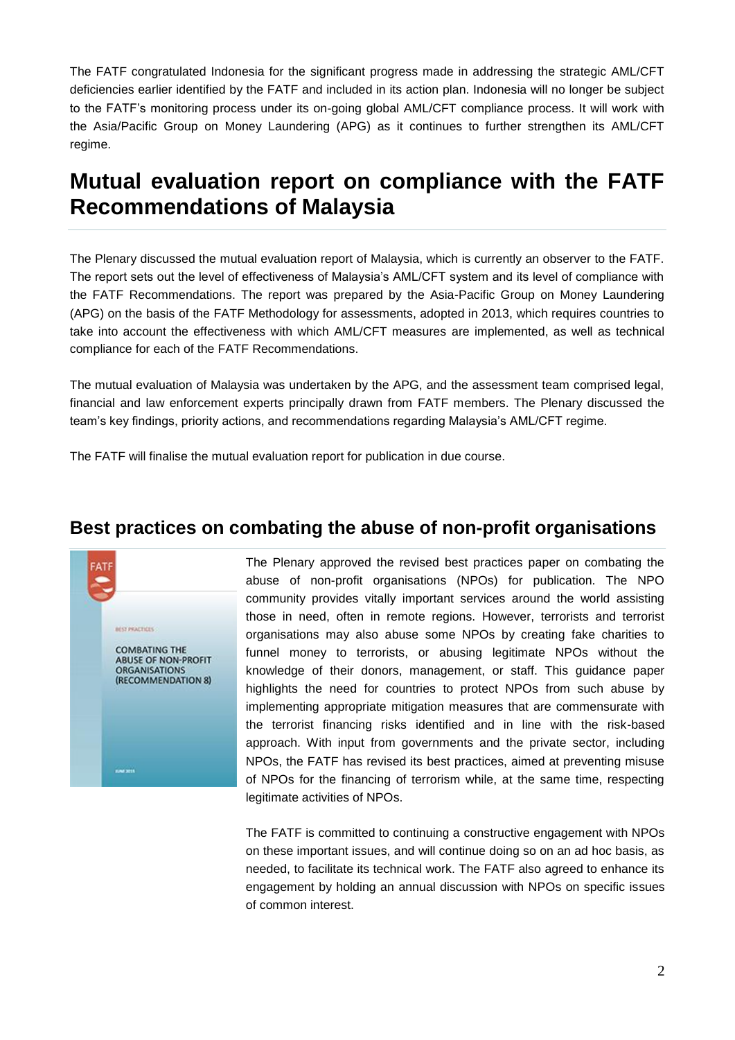The FATF congratulated Indonesia for the significant progress made in addressing the strategic AML/CFT deficiencies earlier identified by the FATF and included in its action plan. Indonesia will no longer be subject to the FATF's monitoring process under its on-going global AML/CFT compliance process. It will work with the Asia/Pacific Group on Money Laundering (APG) as it continues to further strengthen its AML/CFT regime.

## **Mutual evaluation report on compliance with the FATF Recommendations of Malaysia**

The Plenary discussed the mutual evaluation report of Malaysia, which is currently an observer to the FATF. The report sets out the level of effectiveness of Malaysia's AML/CFT system and its level of compliance with the FATF Recommendations. The report was prepared by the Asia-Pacific Group on Money Laundering (APG) on the basis of the FATF Methodology for assessments, adopted in 2013, which requires countries to take into account the effectiveness with which AML/CFT measures are implemented, as well as technical compliance for each of the FATF Recommendations.

The mutual evaluation of Malaysia was undertaken by the APG, and the assessment team comprised legal, financial and law enforcement experts principally drawn from FATF members. The Plenary discussed the team's key findings, priority actions, and recommendations regarding Malaysia's AML/CFT regime.

The FATF will finalise the mutual evaluation report for publication in due course.

#### **Best practices on combating the abuse of non-profit organisations**



The Plenary approved the revised best practices paper on combating the abuse of non-profit organisations (NPOs) for publication. The NPO community provides vitally important services around the world assisting those in need, often in remote regions. However, terrorists and terrorist organisations may also abuse some NPOs by creating fake charities to funnel money to terrorists, or abusing legitimate NPOs without the knowledge of their donors, management, or staff. This guidance paper highlights the need for countries to protect NPOs from such abuse by implementing appropriate mitigation measures that are commensurate with the terrorist financing risks identified and in line with the risk-based approach. With input from governments and the private sector, including NPOs, the FATF has revised its best practices, aimed at preventing misuse of NPOs for the financing of terrorism while, at the same time, respecting legitimate activities of NPOs.

The FATF is committed to continuing a constructive engagement with NPOs on these important issues, and will continue doing so on an ad hoc basis, as needed, to facilitate its technical work. The FATF also agreed to enhance its engagement by holding an annual discussion with NPOs on specific issues of common interest.